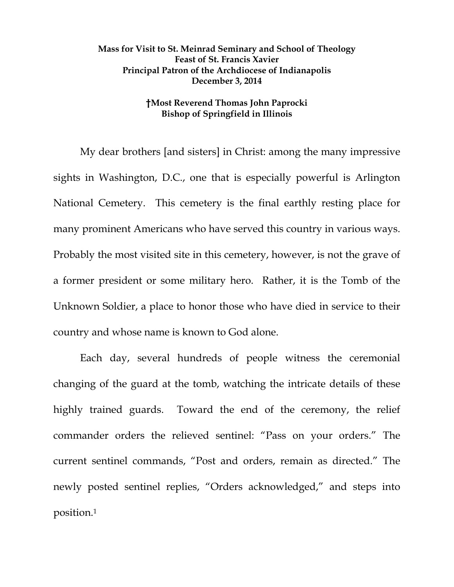## **Mass for Visit to St. Meinrad Seminary and School of Theology Feast of St. Francis Xavier Principal Patron of the Archdiocese of Indianapolis December 3, 2014**

## **†Most Reverend Thomas John Paprocki Bishop of Springfield in Illinois**

My dear brothers [and sisters] in Christ: among the many impressive sights in Washington, D.C., one that is especially powerful is Arlington National Cemetery. This cemetery is the final earthly resting place for many prominent Americans who have served this country in various ways. Probably the most visited site in this cemetery, however, is not the grave of a former president or some military hero. Rather, it is the Tomb of the Unknown Soldier, a place to honor those who have died in service to their country and whose name is known to God alone.

Each day, several hundreds of people witness the ceremonial changing of the guard at the tomb, watching the intricate details of these highly trained guards. Toward the end of the ceremony, the relief commander orders the relieved sentinel: "Pass on your orders." The current sentinel commands, "Post and orders, remain as directed." The newly posted sentinel replies, "Orders acknowledged," and steps into position.1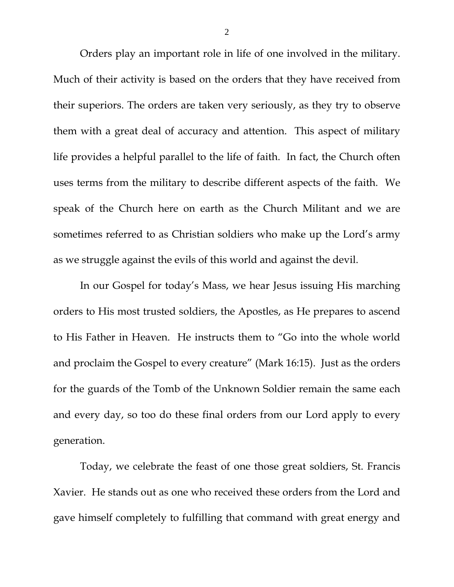Orders play an important role in life of one involved in the military. Much of their activity is based on the orders that they have received from their superiors. The orders are taken very seriously, as they try to observe them with a great deal of accuracy and attention. This aspect of military life provides a helpful parallel to the life of faith. In fact, the Church often uses terms from the military to describe different aspects of the faith. We speak of the Church here on earth as the Church Militant and we are sometimes referred to as Christian soldiers who make up the Lord's army as we struggle against the evils of this world and against the devil.

In our Gospel for today's Mass, we hear Jesus issuing His marching orders to His most trusted soldiers, the Apostles, as He prepares to ascend to His Father in Heaven. He instructs them to "Go into the whole world and proclaim the Gospel to every creature" (Mark 16:15). Just as the orders for the guards of the Tomb of the Unknown Soldier remain the same each and every day, so too do these final orders from our Lord apply to every generation.

Today, we celebrate the feast of one those great soldiers, St. Francis Xavier. He stands out as one who received these orders from the Lord and gave himself completely to fulfilling that command with great energy and

2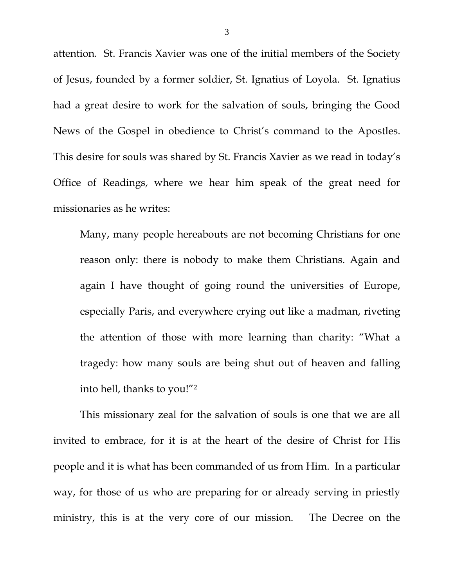attention. St. Francis Xavier was one of the initial members of the Society of Jesus, founded by a former soldier, St. Ignatius of Loyola. St. Ignatius had a great desire to work for the salvation of souls, bringing the Good News of the Gospel in obedience to Christ's command to the Apostles. This desire for souls was shared by St. Francis Xavier as we read in today's Office of Readings, where we hear him speak of the great need for missionaries as he writes:

Many, many people hereabouts are not becoming Christians for one reason only: there is nobody to make them Christians. Again and again I have thought of going round the universities of Europe, especially Paris, and everywhere crying out like a madman, riveting the attention of those with more learning than charity: "What a tragedy: how many souls are being shut out of heaven and falling into hell, thanks to you!"2

This missionary zeal for the salvation of souls is one that we are all invited to embrace, for it is at the heart of the desire of Christ for His people and it is what has been commanded of us from Him. In a particular way, for those of us who are preparing for or already serving in priestly ministry, this is at the very core of our mission. The Decree on the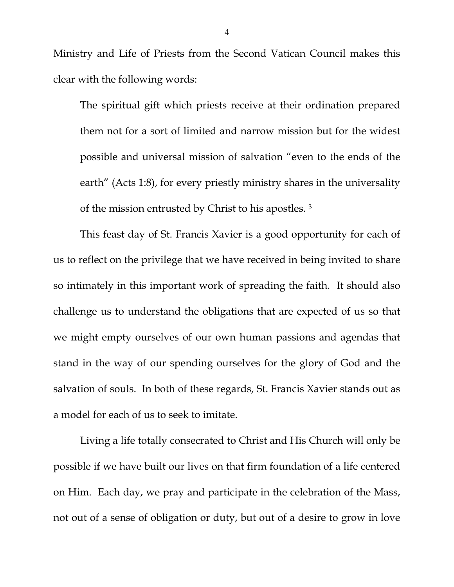Ministry and Life of Priests from the Second Vatican Council makes this clear with the following words:

The spiritual gift which priests receive at their ordination prepared them not for a sort of limited and narrow mission but for the widest possible and universal mission of salvation "even to the ends of the earth" (Acts 1:8), for every priestly ministry shares in the universality of the mission entrusted by Christ to his apostles. 3

This feast day of St. Francis Xavier is a good opportunity for each of us to reflect on the privilege that we have received in being invited to share so intimately in this important work of spreading the faith. It should also challenge us to understand the obligations that are expected of us so that we might empty ourselves of our own human passions and agendas that stand in the way of our spending ourselves for the glory of God and the salvation of souls. In both of these regards, St. Francis Xavier stands out as a model for each of us to seek to imitate.

Living a life totally consecrated to Christ and His Church will only be possible if we have built our lives on that firm foundation of a life centered on Him. Each day, we pray and participate in the celebration of the Mass, not out of a sense of obligation or duty, but out of a desire to grow in love